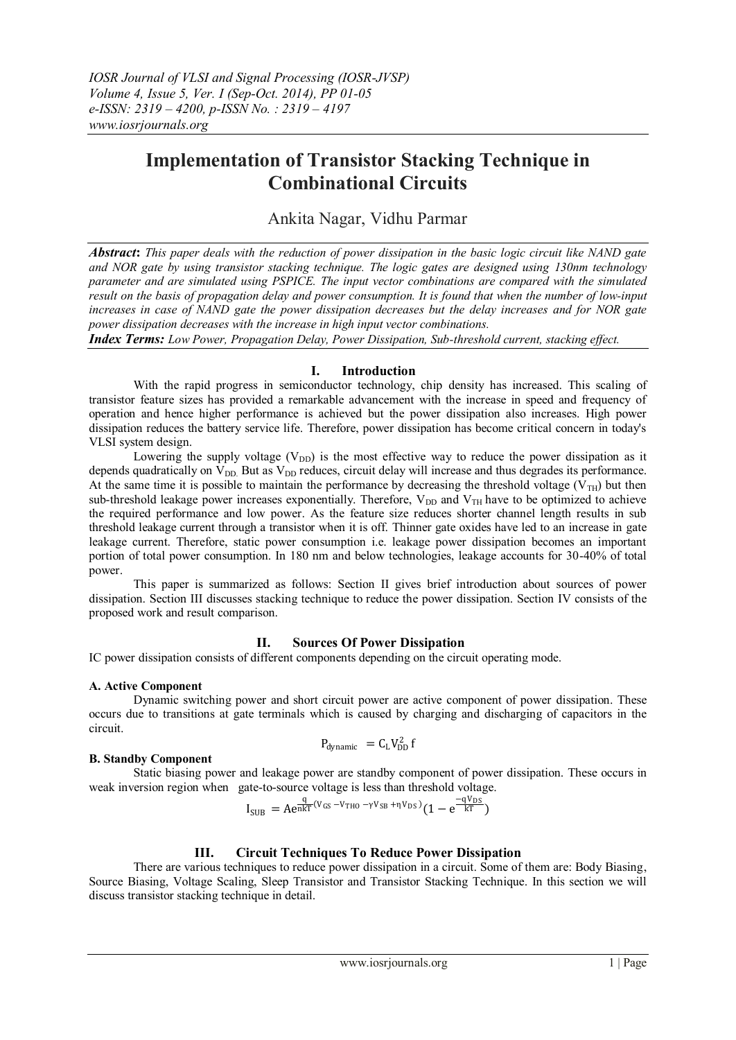# **Implementation of Transistor Stacking Technique in Combinational Circuits**

Ankita Nagar, Vidhu Parmar

*Abstract***:** *This paper deals with the reduction of power dissipation in the basic logic circuit like NAND gate and NOR gate by using transistor stacking technique. The logic gates are designed using 130nm technology parameter and are simulated using PSPICE. The input vector combinations are compared with the simulated result on the basis of propagation delay and power consumption. It is found that when the number of low-input increases in case of NAND gate the power dissipation decreases but the delay increases and for NOR gate power dissipation decreases with the increase in high input vector combinations.* 

*Index Terms: Low Power, Propagation Delay, Power Dissipation, Sub-threshold current, stacking effect.*

## **I. Introduction**

With the rapid progress in semiconductor technology, chip density has increased. This scaling of transistor feature sizes has provided a remarkable advancement with the increase in speed and frequency of operation and hence higher performance is achieved but the power dissipation also increases. High power dissipation reduces the battery service life. Therefore, power dissipation has become critical concern in today's VLSI system design.

Lowering the supply voltage  $(V_{DD})$  is the most effective way to reduce the power dissipation as it depends quadratically on  $V_{DD}$  But as  $V_{DD}$  reduces, circuit delay will increase and thus degrades its performance. At the same time it is possible to maintain the performance by decreasing the threshold voltage ( $V<sub>TH</sub>$ ) but then sub-threshold leakage power increases exponentially. Therefore,  $V_{DD}$  and  $V_{TH}$  have to be optimized to achieve the required performance and low power. As the feature size reduces shorter channel length results in sub threshold leakage current through a transistor when it is off. Thinner gate oxides have led to an increase in gate leakage current. Therefore, static power consumption i.e. leakage power dissipation becomes an important portion of total power consumption. In 180 nm and below technologies, leakage accounts for 30-40% of total power.

This paper is summarized as follows: Section II gives brief introduction about sources of power dissipation. Section III discusses stacking technique to reduce the power dissipation. Section IV consists of the proposed work and result comparison.

# **II. Sources Of Power Dissipation**

IC power dissipation consists of different components depending on the circuit operating mode.

## **A. Active Component**

Dynamic switching power and short circuit power are active component of power dissipation. These occurs due to transitions at gate terminals which is caused by charging and discharging of capacitors in the circuit.

$$
P_{dynamic} = C_L V_{DD}^2 f
$$

## **B. Standby Component**

Static biasing power and leakage power are standby component of power dissipation. These occurs in weak inversion region when gate-to-source voltage is less than threshold voltage.

$$
I_{SUB} = A e^{\frac{q}{n k T} (V_{GS} - V_{THO} - \gamma V_{SB} + \eta V_{DS})} (1 - e^{\frac{-q V_{DS}}{k T}})
$$

## **III. Circuit Techniques To Reduce Power Dissipation**

There are various techniques to reduce power dissipation in a circuit. Some of them are: Body Biasing, Source Biasing, Voltage Scaling, Sleep Transistor and Transistor Stacking Technique. In this section we will discuss transistor stacking technique in detail.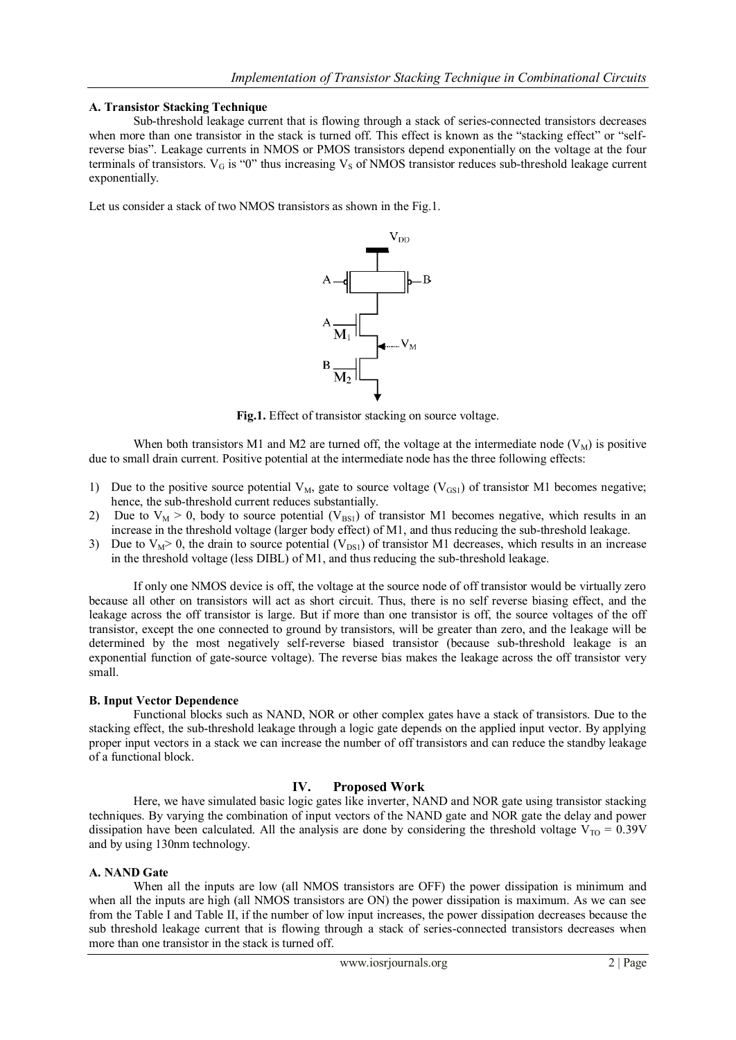#### **A. Transistor Stacking Technique**

Sub-threshold leakage current that is flowing through a stack of series-connected transistors decreases when more than one transistor in the stack is turned off. This effect is known as the "stacking effect" or "selfreverse bias". Leakage currents in NMOS or PMOS transistors depend exponentially on the voltage at the four terminals of transistors.  $V_G$  is "0" thus increasing  $V_S$  of NMOS transistor reduces sub-threshold leakage current exponentially.

Let us consider a stack of two NMOS transistors as shown in the Fig.1.



**Fig.1.** Effect of transistor stacking on source voltage.

When both transistors M1 and M2 are turned off, the voltage at the intermediate node  $(V_M)$  is positive due to small drain current. Positive potential at the intermediate node has the three following effects:

- 1) Due to the positive source potential  $V_M$ , gate to source voltage ( $V_{GS1}$ ) of transistor M1 becomes negative; hence, the sub-threshold current reduces substantially.
- 2) Due to  $V_M > 0$ , body to source potential  $(V_{BS1})$  of transistor M1 becomes negative, which results in an increase in the threshold voltage (larger body effect) of M1, and thus reducing the sub-threshold leakage.
- 3) Due to  $V_M > 0$ , the drain to source potential  $(V_{DS1})$  of transistor M1 decreases, which results in an increase in the threshold voltage (less DIBL) of M1, and thus reducing the sub-threshold leakage.

If only one NMOS device is off, the voltage at the source node of off transistor would be virtually zero because all other on transistors will act as short circuit. Thus, there is no self reverse biasing effect, and the leakage across the off transistor is large. But if more than one transistor is off, the source voltages of the off transistor, except the one connected to ground by transistors, will be greater than zero, and the leakage will be determined by the most negatively self-reverse biased transistor (because sub-threshold leakage is an exponential function of gate-source voltage). The reverse bias makes the leakage across the off transistor very small.

## **B. Input Vector Dependence**

Functional blocks such as NAND, NOR or other complex gates have a stack of transistors. Due to the stacking effect, the sub-threshold leakage through a logic gate depends on the applied input vector. By applying proper input vectors in a stack we can increase the number of off transistors and can reduce the standby leakage of a functional block.

## **IV. Proposed Work**

Here, we have simulated basic logic gates like inverter, NAND and NOR gate using transistor stacking techniques. By varying the combination of input vectors of the NAND gate and NOR gate the delay and power dissipation have been calculated. All the analysis are done by considering the threshold voltage  $V_{\text{TO}} = 0.39V$ and by using 130nm technology.

#### **A. NAND Gate**

When all the inputs are low (all NMOS transistors are OFF) the power dissipation is minimum and when all the inputs are high (all NMOS transistors are ON) the power dissipation is maximum. As we can see from the Table I and Table II, if the number of low input increases, the power dissipation decreases because the sub threshold leakage current that is flowing through a stack of series-connected transistors decreases when more than one transistor in the stack is turned off.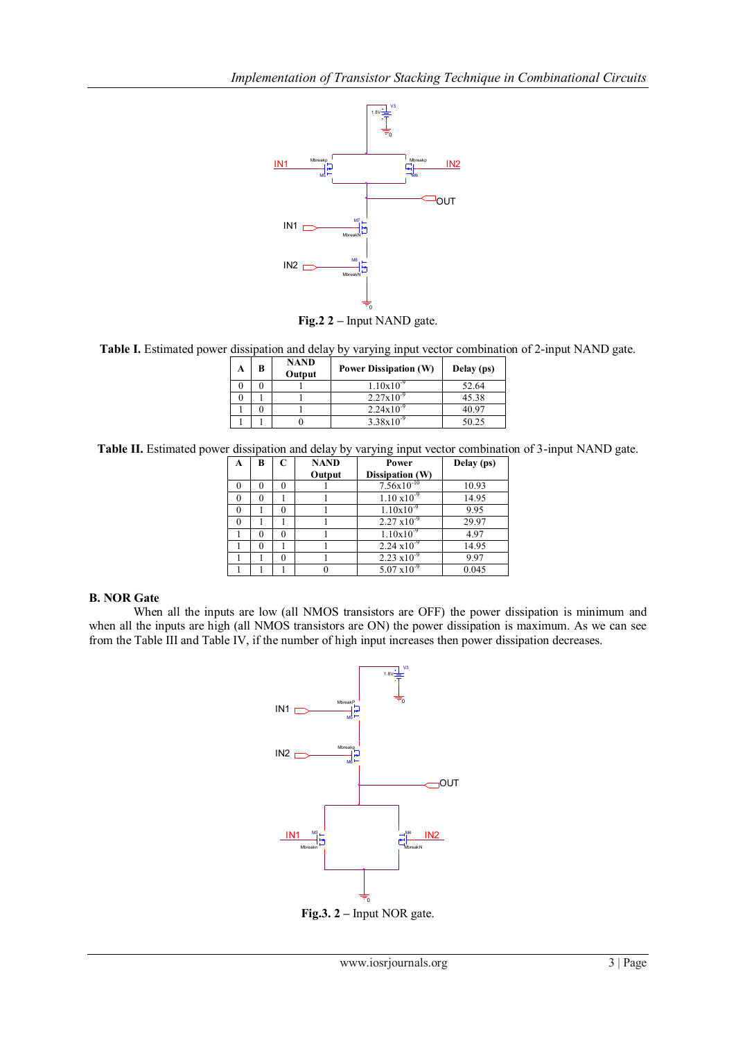

**Table I.** Estimated power dissipation and delay by varying input vector combination of 2-input NAND gate.

| A | B | <b>NAND</b><br>Output | <b>Power Dissipation (W)</b> | Delay (ps) |
|---|---|-----------------------|------------------------------|------------|
|   |   |                       | $1.10x10^{-9}$               | 52.64      |
|   |   |                       | $2.27x10^{-9}$               | 45.38      |
|   |   |                       | $2.24x10^{-9}$               | 40.97      |
|   |   |                       | $3.38x10^{4}$                | 50.25      |

**Table II.** Estimated power dissipation and delay by varying input vector combination of 3-input NAND gate.

| A        | В | C | <b>NAND</b> | Power                      | Delay (ps) |
|----------|---|---|-------------|----------------------------|------------|
|          |   |   | Output      | Dissipation (W)            |            |
|          |   |   |             | $7.56x10^{-10}$            | 10.93      |
| $\Omega$ | 0 |   |             | $1.10 \times 10^{-9}$      | 14.95      |
|          |   |   |             | $1.10x10^{-9}$             | 9.95       |
|          |   |   |             | $2.27 \times 10^{-9}$      | 29.97      |
|          |   |   |             | $1.10x10^{-9}$             | 4.97       |
|          | 0 |   |             | $2.24 \times 10^{-9}$      | 14.95      |
|          |   |   |             | $2.23 \times 10^{-9}$      | 9.97       |
|          |   |   |             | $5.07 \overline{x10^{-9}}$ | 0.045      |

## **B. NOR Gate**

When all the inputs are low (all NMOS transistors are OFF) the power dissipation is minimum and when all the inputs are high (all NMOS transistors are ON) the power dissipation is maximum. As we can see from the Table III and Table IV, if the number of high input increases then power dissipation decreases.



**Fig.3. 2 –** Input NOR gate.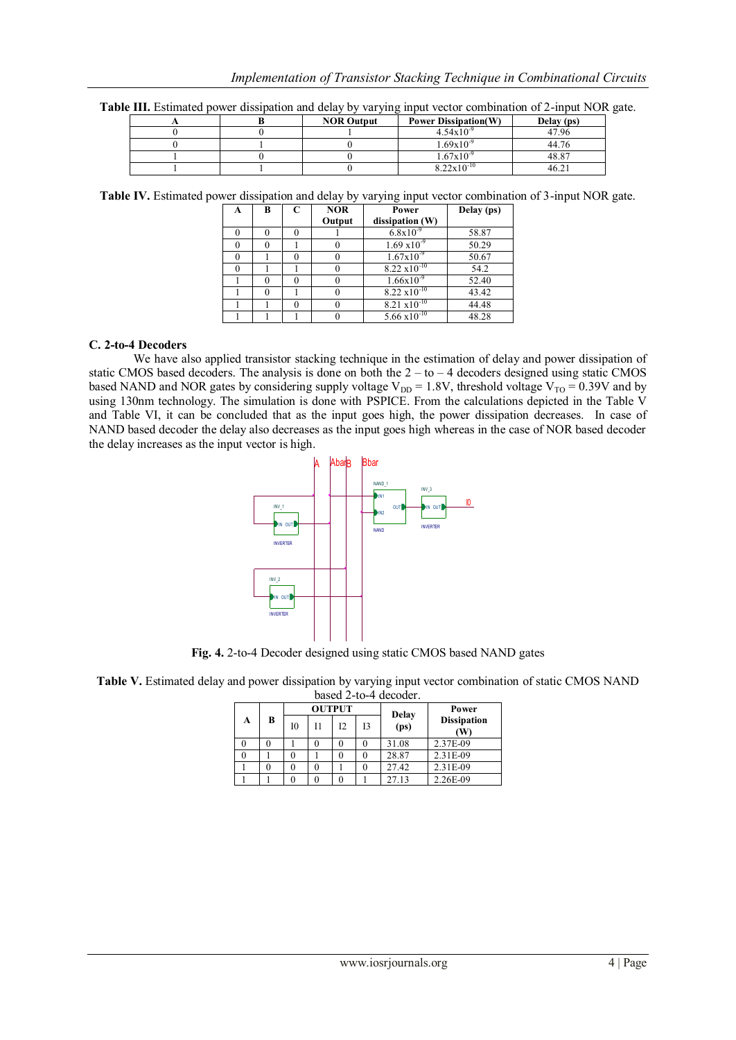|  |  |  |  | Table III. Estimated power dissipation and delay by varying input vector combination of 2-input NOR gate. |
|--|--|--|--|-----------------------------------------------------------------------------------------------------------|
|--|--|--|--|-----------------------------------------------------------------------------------------------------------|

|  | <b>NOR Output</b> | <b>Power Dissipation(W)</b> | Delay (ps) |
|--|-------------------|-----------------------------|------------|
|  |                   | $4.54 \times 10^{-9}$       | 47.96      |
|  |                   | $1.69x10^{-9}$              | 44.76      |
|  |                   | $1.67x10^{-9}$              | 48.87      |
|  |                   | $8.22 \times 10^{-10}$      | 46.21      |

**Table IV.** Estimated power dissipation and delay by varying input vector combination of 3-input NOR gate.

| A | B | C | <b>NOR</b> | Power                  | Delay (ps) |
|---|---|---|------------|------------------------|------------|
|   |   |   | Output     | dissipation (W)        |            |
|   |   |   |            | $6.8x10^{-9}$          | 58.87      |
|   |   |   |            | $1.69 \times 10^{-9}$  | 50.29      |
|   |   |   |            | $1.67x10^{-9}$         | 50.67      |
|   |   |   |            | $8.22 \times 10^{-10}$ | 54.2       |
|   |   |   |            | $1.66x10^{-9}$         | 52.40      |
|   |   |   |            | $8.22 \times 10^{-10}$ | 43.42      |
|   |   |   |            | $8.21 \times 10^{-10}$ | 44.48      |
|   |   |   |            | $5.66 \times 10^{-10}$ | 48.28      |

#### **C. 2-to-4 Decoders**

We have also applied transistor stacking technique in the estimation of delay and power dissipation of static CMOS based decoders. The analysis is done on both the  $2 -$ to  $- 4$  decoders designed using static CMOS based NAND and NOR gates by considering supply voltage V<sub>DD</sub> = 1.8V, threshold voltage V<sub>TO</sub> = 0.39V and by using 130nm technology. The simulation is done with PSPICE. From the calculations depicted in the Table V and Table VI, it can be concluded that as the input goes high, the power dissipation decreases. In case of NAND based decoder the delay also decreases as the input goes high whereas in the case of NOR based decoder the delay increases as the input vector is high.



**Fig. 4.** 2-to-4 Decoder designed using static CMOS based NAND gates

**Table V.** Estimated delay and power dissipation by varying input vector combination of static CMOS NAND based 2-to-4 decoder.

|   | $\alpha$ |               |    |    |    |              |                          |  |  |  |  |
|---|----------|---------------|----|----|----|--------------|--------------------------|--|--|--|--|
| A | B        | <b>OUTPUT</b> |    |    |    | <b>Delay</b> | Power                    |  |  |  |  |
|   |          | ю             | 11 | 12 | 13 | (ps)         | <b>Dissipation</b><br>(W |  |  |  |  |
|   |          |               |    |    |    | 31.08        | 2.37E-09                 |  |  |  |  |
|   |          |               |    |    |    | 28.87        | 2.31E-09                 |  |  |  |  |
|   |          |               |    |    |    | 27.42        | 2.31E-09                 |  |  |  |  |
|   |          |               |    |    |    | 27.13        | 2.26E-09                 |  |  |  |  |